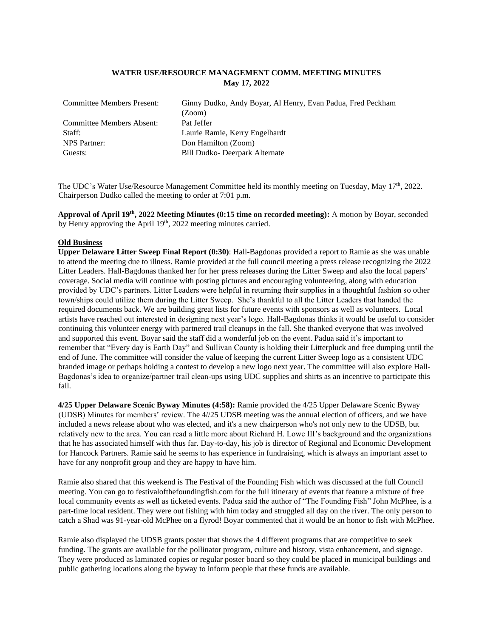# **WATER USE/RESOURCE MANAGEMENT COMM. MEETING MINUTES May 17, 2022**

| <b>Committee Members Present:</b> | Ginny Dudko, Andy Boyar, Al Henry, Evan Padua, Fred Peckham<br>(Zoom) |
|-----------------------------------|-----------------------------------------------------------------------|
| Committee Members Absent:         | Pat Jeffer                                                            |
| Staff:                            | Laurie Ramie, Kerry Engelhardt                                        |
| NPS Partner:                      | Don Hamilton (Zoom)                                                   |
| Guests:                           | Bill Dudko- Deerpark Alternate                                        |
|                                   |                                                                       |

The UDC's Water Use/Resource Management Committee held its monthly meeting on Tuesday, May 17<sup>th</sup>, 2022. Chairperson Dudko called the meeting to order at 7:01 p.m.

**Approval of April 19th , 2022 Meeting Minutes (0:15 time on recorded meeting):** A motion by Boyar, seconded by Henry approving the April 19<sup>th</sup>, 2022 meeting minutes carried.

#### **Old Business**

**Upper Delaware Litter Sweep Final Report (0:30)**: Hall-Bagdonas provided a report to Ramie as she was unable to attend the meeting due to illness. Ramie provided at the full council meeting a press release recognizing the 2022 Litter Leaders. Hall-Bagdonas thanked her for her press releases during the Litter Sweep and also the local papers' coverage. Social media will continue with posting pictures and encouraging volunteering, along with education provided by UDC's partners. Litter Leaders were helpful in returning their supplies in a thoughtful fashion so other town/ships could utilize them during the Litter Sweep. She's thankful to all the Litter Leaders that handed the required documents back. We are building great lists for future events with sponsors as well as volunteers. Local artists have reached out interested in designing next year's logo. Hall-Bagdonas thinks it would be useful to consider continuing this volunteer energy with partnered trail cleanups in the fall. She thanked everyone that was involved and supported this event. Boyar said the staff did a wonderful job on the event. Padua said it's important to remember that "Every day is Earth Day" and Sullivan County is holding their Litterpluck and free dumping until the end of June. The committee will consider the value of keeping the current Litter Sweep logo as a consistent UDC branded image or perhaps holding a contest to develop a new logo next year. The committee will also explore Hall-Bagdonas's idea to organize/partner trail clean-ups using UDC supplies and shirts as an incentive to participate this fall.

**4/25 Upper Delaware Scenic Byway Minutes (4:58):** Ramie provided the 4/25 Upper Delaware Scenic Byway (UDSB) Minutes for members' review. The 4//25 UDSB meeting was the annual election of officers, and we have included a news release about who was elected, and it's a new chairperson who's not only new to the UDSB, but relatively new to the area. You can read a little more about Richard H. Lowe III's background and the organizations that he has associated himself with thus far. Day-to-day, his job is director of Regional and Economic Development for Hancock Partners. Ramie said he seems to has experience in fundraising, which is always an important asset to have for any nonprofit group and they are happy to have him.

Ramie also shared that this weekend is The Festival of the Founding Fish which was discussed at the full Council meeting. You can go to festivalofthefoundingfish.com for the full itinerary of events that feature a mixture of free local community events as well as ticketed events. Padua said the author of "The Founding Fish" John McPhee, is a part-time local resident. They were out fishing with him today and struggled all day on the river. The only person to catch a Shad was 91-year-old McPhee on a flyrod! Boyar commented that it would be an honor to fish with McPhee.

Ramie also displayed the UDSB grants poster that shows the 4 different programs that are competitive to seek funding. The grants are available for the pollinator program, culture and history, vista enhancement, and signage. They were produced as laminated copies or regular poster board so they could be placed in municipal buildings and public gathering locations along the byway to inform people that these funds are available.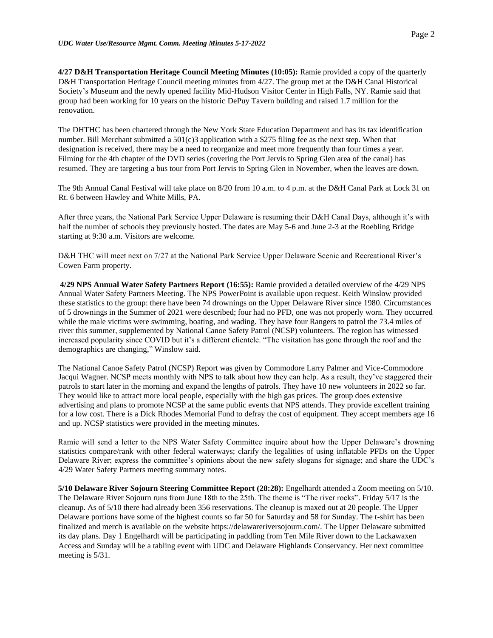**4/27 D&H Transportation Heritage Council Meeting Minutes (10:05):** Ramie provided a copy of the quarterly D&H Transportation Heritage Council meeting minutes from 4/27. The group met at the D&H Canal Historical Society's Museum and the newly opened facility Mid-Hudson Visitor Center in High Falls, NY. Ramie said that group had been working for 10 years on the historic DePuy Tavern building and raised 1.7 million for the renovation.

The DHTHC has been chartered through the New York State Education Department and has its tax identification number. Bill Merchant submitted a 501(c)3 application with a \$275 filing fee as the next step. When that designation is received, there may be a need to reorganize and meet more frequently than four times a year. Filming for the 4th chapter of the DVD series (covering the Port Jervis to Spring Glen area of the canal) has resumed. They are targeting a bus tour from Port Jervis to Spring Glen in November, when the leaves are down.

The 9th Annual Canal Festival will take place on 8/20 from 10 a.m. to 4 p.m. at the D&H Canal Park at Lock 31 on Rt. 6 between Hawley and White Mills, PA.

After three years, the National Park Service Upper Delaware is resuming their D&H Canal Days, although it's with half the number of schools they previously hosted. The dates are May 5-6 and June 2-3 at the Roebling Bridge starting at 9:30 a.m. Visitors are welcome.

D&H THC will meet next on 7/27 at the National Park Service Upper Delaware Scenic and Recreational River's Cowen Farm property.

**4/29 NPS Annual Water Safety Partners Report (16:55):** Ramie provided a detailed overview of the 4/29 NPS Annual Water Safety Partners Meeting. The NPS PowerPoint is available upon request. Keith Winslow provided these statistics to the group: there have been 74 drownings on the Upper Delaware River since 1980. Circumstances of 5 drownings in the Summer of 2021 were described; four had no PFD, one was not properly worn. They occurred while the male victims were swimming, boating, and wading. They have four Rangers to patrol the 73.4 miles of river this summer, supplemented by National Canoe Safety Patrol (NCSP) volunteers. The region has witnessed increased popularity since COVID but it's a different clientele. "The visitation has gone through the roof and the demographics are changing," Winslow said.

The National Canoe Safety Patrol (NCSP) Report was given by Commodore Larry Palmer and Vice-Commodore Jacqui Wagner. NCSP meets monthly with NPS to talk about how they can help. As a result, they've staggered their patrols to start later in the morning and expand the lengths of patrols. They have 10 new volunteers in 2022 so far. They would like to attract more local people, especially with the high gas prices. The group does extensive advertising and plans to promote NCSP at the same public events that NPS attends. They provide excellent training for a low cost. There is a Dick Rhodes Memorial Fund to defray the cost of equipment. They accept members age 16 and up. NCSP statistics were provided in the meeting minutes.

Ramie will send a letter to the NPS Water Safety Committee inquire about how the Upper Delaware's drowning statistics compare/rank with other federal waterways; clarify the legalities of using inflatable PFDs on the Upper Delaware River; express the committee's opinions about the new safety slogans for signage; and share the UDC's 4/29 Water Safety Partners meeting summary notes.

**5/10 Delaware River Sojourn Steering Committee Report (28:28):** Engelhardt attended a Zoom meeting on 5/10. The Delaware River Sojourn runs from June 18th to the 25th. The theme is "The river rocks". Friday 5/17 is the cleanup. As of 5/10 there had already been 356 reservations. The cleanup is maxed out at 20 people. The Upper Delaware portions have some of the highest counts so far 50 for Saturday and 58 for Sunday. The t-shirt has been finalized and merch is available on the website https://delawareriversojourn.com/. The Upper Delaware submitted its day plans. Day 1 Engelhardt will be participating in paddling from Ten Mile River down to the Lackawaxen Access and Sunday will be a tabling event with UDC and Delaware Highlands Conservancy. Her next committee meeting is 5/31.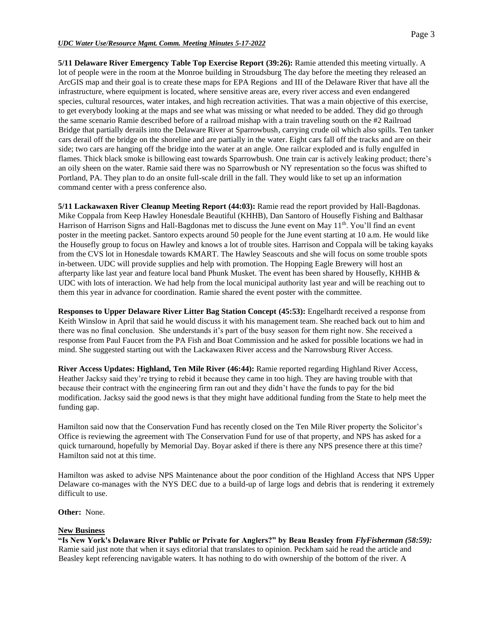### *UDC Water Use/Resource Mgmt. Comm. Meeting Minutes 5-17-2022*

**5/11 Delaware River Emergency Table Top Exercise Report (39:26):** Ramie attended this meeting virtually. A lot of people were in the room at the Monroe building in Stroudsburg The day before the meeting they released an ArcGIS map and their goal is to create these maps for EPA Regions and III of the Delaware River that have all the infrastructure, where equipment is located, where sensitive areas are, every river access and even endangered species, cultural resources, water intakes, and high recreation activities. That was a main objective of this exercise, to get everybody looking at the maps and see what was missing or what needed to be added. They did go through the same scenario Ramie described before of a railroad mishap with a train traveling south on the #2 Railroad Bridge that partially derails into the Delaware River at Sparrowbush, carrying crude oil which also spills. Ten tanker cars derail off the bridge on the shoreline and are partially in the water. Eight cars fall off the tracks and are on their side; two cars are hanging off the bridge into the water at an angle. One railcar exploded and is fully engulfed in flames. Thick black smoke is billowing east towards Sparrowbush. One train car is actively leaking product; there's an oily sheen on the water. Ramie said there was no Sparrowbush or NY representation so the focus was shifted to Portland, PA. They plan to do an onsite full-scale drill in the fall. They would like to set up an information command center with a press conference also.

**5/11 Lackawaxen River Cleanup Meeting Report (44:03):** Ramie read the report provided by Hall-Bagdonas. Mike Coppala from Keep Hawley Honesdale Beautiful (KHHB), Dan Santoro of Housefly Fishing and Balthasar Harrison of Harrison Signs and Hall-Bagdonas met to discuss the June event on May 11<sup>th</sup>. You'll find an event poster in the meeting packet. Santoro expects around 50 people for the June event starting at 10 a.m. He would like the Housefly group to focus on Hawley and knows a lot of trouble sites. Harrison and Coppala will be taking kayaks from the CVS lot in Honesdale towards KMART. The Hawley Seascouts and she will focus on some trouble spots in-between. UDC will provide supplies and help with promotion. The Hopping Eagle Brewery will host an afterparty like last year and feature local band Phunk Musket. The event has been shared by Housefly, KHHB & UDC with lots of interaction. We had help from the local municipal authority last year and will be reaching out to them this year in advance for coordination. Ramie shared the event poster with the committee.

**Responses to Upper Delaware River Litter Bag Station Concept (45:53):** Engelhardt received a response from Keith Winslow in April that said he would discuss it with his management team. She reached back out to him and there was no final conclusion. She understands it's part of the busy season for them right now. She received a response from Paul Faucet from the PA Fish and Boat Commission and he asked for possible locations we had in mind. She suggested starting out with the Lackawaxen River access and the Narrowsburg River Access.

**River Access Updates: Highland, Ten Mile River (46:44):** Ramie reported regarding Highland River Access, Heather Jacksy said they're trying to rebid it because they came in too high. They are having trouble with that because their contract with the engineering firm ran out and they didn't have the funds to pay for the bid modification. Jacksy said the good news is that they might have additional funding from the State to help meet the funding gap.

Hamilton said now that the Conservation Fund has recently closed on the Ten Mile River property the Solicitor's Office is reviewing the agreement with The Conservation Fund for use of that property, and NPS has asked for a quick turnaround, hopefully by Memorial Day. Boyar asked if there is there any NPS presence there at this time? Hamilton said not at this time.

Hamilton was asked to advise NPS Maintenance about the poor condition of the Highland Access that NPS Upper Delaware co-manages with the NYS DEC due to a build-up of large logs and debris that is rendering it extremely difficult to use.

**Other:** None.

### **New Business**

**"Is New York's Delaware River Public or Private for Anglers?" by Beau Beasley from** *FlyFisherman (58:59):* Ramie said just note that when it says editorial that translates to opinion. Peckham said he read the article and Beasley kept referencing navigable waters. It has nothing to do with ownership of the bottom of the river. A